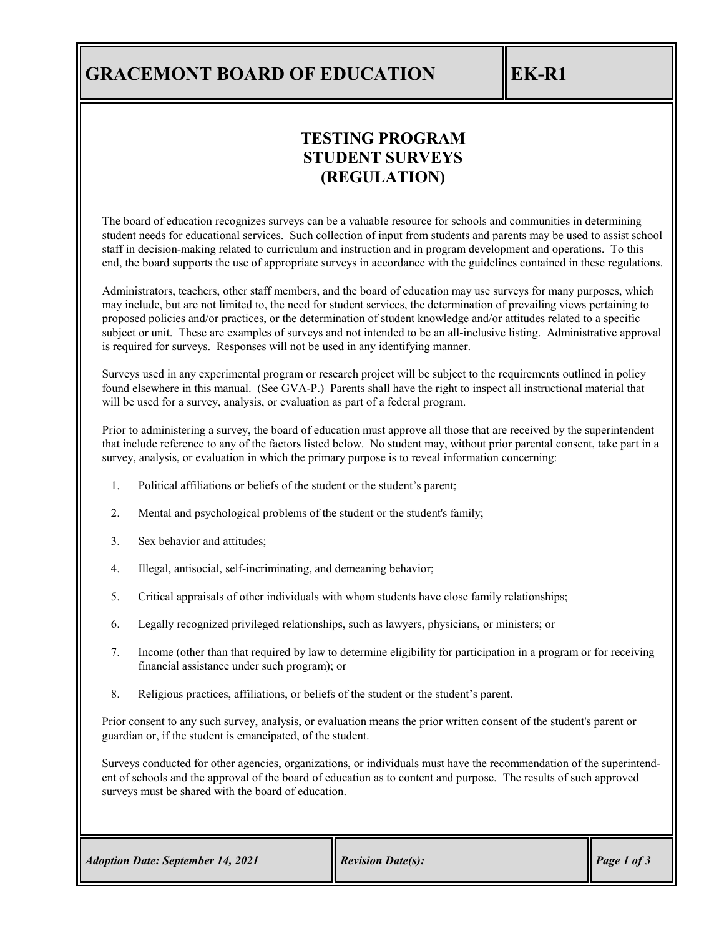### **GRACEMONT BOARD OF EDUCATION EK-R1**

### **TESTING PROGRAM STUDENT SURVEYS (REGULATION)**

The board of education recognizes surveys can be a valuable resource for schools and communities in determining student needs for educational services. Such collection of input from students and parents may be used to assist school staff in decision-making related to curriculum and instruction and in program development and operations. To this end, the board supports the use of appropriate surveys in accordance with the guidelines contained in these regulations.

Administrators, teachers, other staff members, and the board of education may use surveys for many purposes, which may include, but are not limited to, the need for student services, the determination of prevailing views pertaining to proposed policies and/or practices, or the determination of student knowledge and/or attitudes related to a specific subject or unit. These are examples of surveys and not intended to be an all-inclusive listing. Administrative approval is required for surveys. Responses will not be used in any identifying manner.

Surveys used in any experimental program or research project will be subject to the requirements outlined in policy found elsewhere in this manual. (See GVA-P.) Parents shall have the right to inspect all instructional material that will be used for a survey, analysis, or evaluation as part of a federal program.

Prior to administering a survey, the board of education must approve all those that are received by the superintendent that include reference to any of the factors listed below. No student may, without prior parental consent, take part in a survey, analysis, or evaluation in which the primary purpose is to reveal information concerning:

- 1. Political affiliations or beliefs of the student or the student's parent;
- 2. Mental and psychological problems of the student or the student's family;
- 3. Sex behavior and attitudes;
- 4. Illegal, antisocial, self-incriminating, and demeaning behavior;
- 5. Critical appraisals of other individuals with whom students have close family relationships;
- 6. Legally recognized privileged relationships, such as lawyers, physicians, or ministers; or
- 7. Income (other than that required by law to determine eligibility for participation in a program or for receiving financial assistance under such program); or
- 8. Religious practices, affiliations, or beliefs of the student or the student's parent.

Prior consent to any such survey, analysis, or evaluation means the prior written consent of the student's parent or guardian or, if the student is emancipated, of the student.

Surveys conducted for other agencies, organizations, or individuals must have the recommendation of the superintendent of schools and the approval of the board of education as to content and purpose. The results of such approved surveys must be shared with the board of education.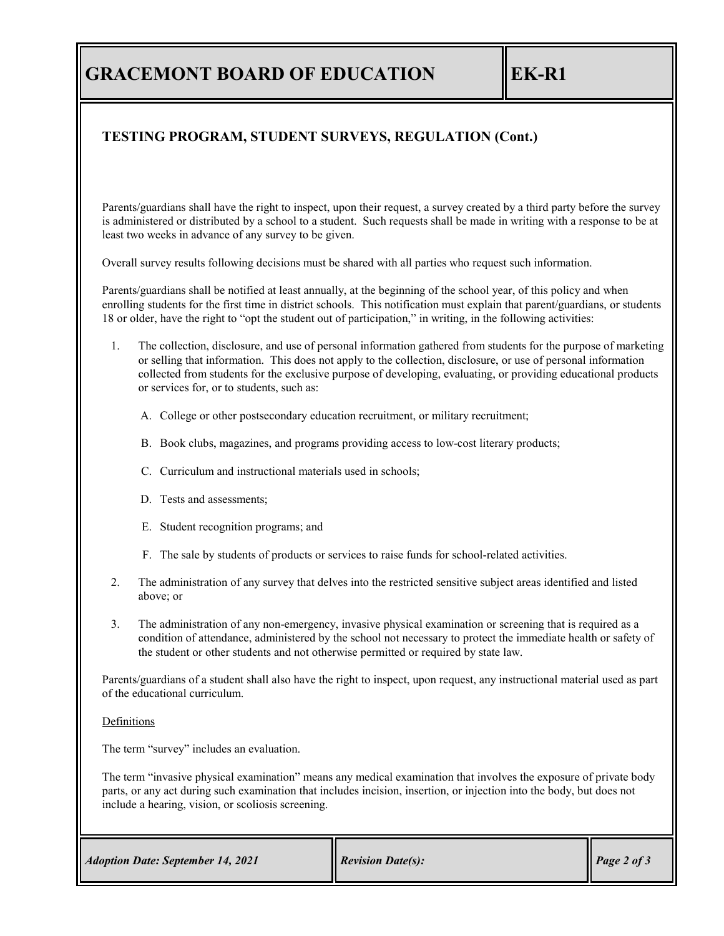## **GRACEMONT BOARD OF EDUCATION EK-R1**

### **TESTING PROGRAM, STUDENT SURVEYS, REGULATION (Cont.)**

Parents/guardians shall have the right to inspect, upon their request, a survey created by a third party before the survey is administered or distributed by a school to a student. Such requests shall be made in writing with a response to be at least two weeks in advance of any survey to be given.

Overall survey results following decisions must be shared with all parties who request such information.

Parents/guardians shall be notified at least annually, at the beginning of the school year, of this policy and when enrolling students for the first time in district schools. This notification must explain that parent/guardians, or students 18 or older, have the right to "opt the student out of participation," in writing, in the following activities:

- 1. The collection, disclosure, and use of personal information gathered from students for the purpose of marketing or selling that information. This does not apply to the collection, disclosure, or use of personal information collected from students for the exclusive purpose of developing, evaluating, or providing educational products or services for, or to students, such as:
	- A. College or other postsecondary education recruitment, or military recruitment;
	- B. Book clubs, magazines, and programs providing access to low-cost literary products;
	- C. Curriculum and instructional materials used in schools;
	- D. Tests and assessments;
	- E. Student recognition programs; and
	- F. The sale by students of products or services to raise funds for school-related activities.
- 2. The administration of any survey that delves into the restricted sensitive subject areas identified and listed above; or
- 3. The administration of any non-emergency, invasive physical examination or screening that is required as a condition of attendance, administered by the school not necessary to protect the immediate health or safety of the student or other students and not otherwise permitted or required by state law.

Parents/guardians of a student shall also have the right to inspect, upon request, any instructional material used as part of the educational curriculum.

#### Definitions

The term "survey" includes an evaluation.

The term "invasive physical examination" means any medical examination that involves the exposure of private body parts, or any act during such examination that includes incision, insertion, or injection into the body, but does not include a hearing, vision, or scoliosis screening.

| $\vert$ Page 2 of 3<br><b>Revision Date(s):</b><br><b>Adoption Date: September 14, 2021</b> |  |  |  |
|---------------------------------------------------------------------------------------------|--|--|--|
|---------------------------------------------------------------------------------------------|--|--|--|